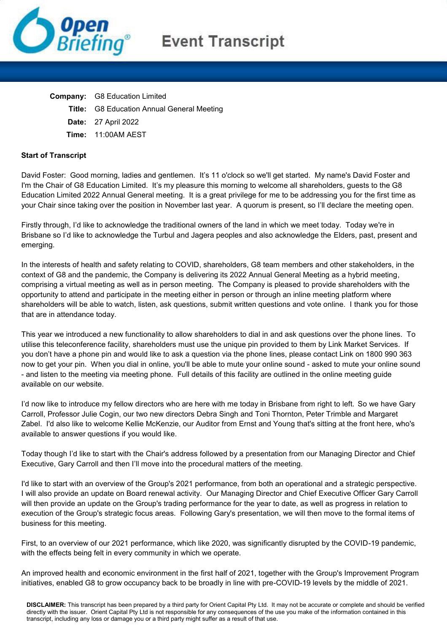

## **Event Transcript**

| <b>Company:</b> G8 Education Limited              |
|---------------------------------------------------|
| <b>Title:</b> G8 Education Annual General Meeting |
| <b>Date: 27 April 2022</b>                        |
| Time: 11:00AM AEST                                |

## **Start of Transcript**

David Foster: Good morning, ladies and gentlemen. It's 11 o'clock so we'll get started. My name's David Foster and I'm the Chair of G8 Education Limited. It's my pleasure this morning to welcome all shareholders, guests to the G8 Education Limited 2022 Annual General meeting. It is a great privilege for me to be addressing you for the first time as your Chair since taking over the position in November last year. A quorum is present, so I'll declare the meeting open.

Firstly through, I'd like to acknowledge the traditional owners of the land in which we meet today. Today we're in Brisbane so I'd like to acknowledge the Turbul and Jagera peoples and also acknowledge the Elders, past, present and emerging.

In the interests of health and safety relating to COVID, shareholders, G8 team members and other stakeholders, in the context of G8 and the pandemic, the Company is delivering its 2022 Annual General Meeting as a hybrid meeting, comprising a virtual meeting as well as in person meeting. The Company is pleased to provide shareholders with the opportunity to attend and participate in the meeting either in person or through an inline meeting platform where shareholders will be able to watch, listen, ask questions, submit written questions and vote online. I thank you for those that are in attendance today.

This year we introduced a new functionality to allow shareholders to dial in and ask questions over the phone lines. To utilise this teleconference facility, shareholders must use the unique pin provided to them by Link Market Services. If you don't have a phone pin and would like to ask a question via the phone lines, please contact Link on 1800 990 363 now to get your pin. When you dial in online, you'll be able to mute your online sound - asked to mute your online sound - and listen to the meeting via meeting phone. Full details of this facility are outlined in the online meeting guide available on our website.

I'd now like to introduce my fellow directors who are here with me today in Brisbane from right to left. So we have Gary Carroll, Professor Julie Cogin, our two new directors Debra Singh and Toni Thornton, Peter Trimble and Margaret Zabel. I'd also like to welcome Kellie McKenzie, our Auditor from Ernst and Young that's sitting at the front here, who's available to answer questions if you would like.

Today though I'd like to start with the Chair's address followed by a presentation from our Managing Director and Chief Executive, Gary Carroll and then I'll move into the procedural matters of the meeting.

I'd like to start with an overview of the Group's 2021 performance, from both an operational and a strategic perspective. I will also provide an update on Board renewal activity. Our Managing Director and Chief Executive Officer Gary Carroll will then provide an update on the Group's trading performance for the year to date, as well as progress in relation to execution of the Group's strategic focus areas. Following Gary's presentation, we will then move to the formal items of business for this meeting.

First, to an overview of our 2021 performance, which like 2020, was significantly disrupted by the COVID-19 pandemic, with the effects being felt in every community in which we operate.

An improved health and economic environment in the first half of 2021, together with the Group's Improvement Program initiatives, enabled G8 to grow occupancy back to be broadly in line with pre-COVID-19 levels by the middle of 2021.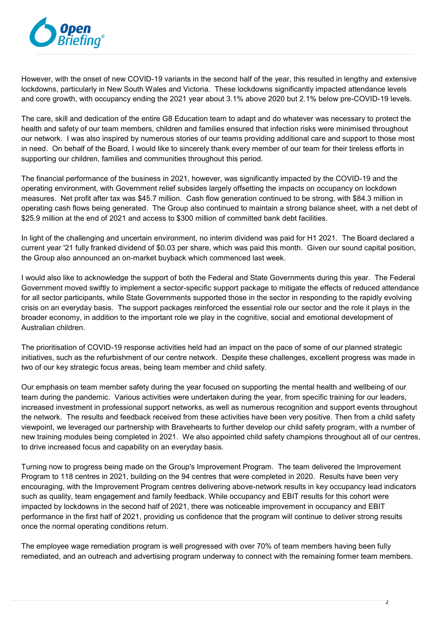

However, with the onset of new COVID-19 variants in the second half of the year, this resulted in lengthy and extensive lockdowns, particularly in New South Wales and Victoria. These lockdowns significantly impacted attendance levels and core growth, with occupancy ending the 2021 year about 3.1% above 2020 but 2.1% below pre-COVID-19 levels.

The care, skill and dedication of the entire G8 Education team to adapt and do whatever was necessary to protect the health and safety of our team members, children and families ensured that infection risks were minimised throughout our network. I was also inspired by numerous stories of our teams providing additional care and support to those most in need. On behalf of the Board, I would like to sincerely thank every member of our team for their tireless efforts in supporting our children, families and communities throughout this period.

The financial performance of the business in 2021, however, was significantly impacted by the COVID-19 and the operating environment, with Government relief subsides largely offsetting the impacts on occupancy on lockdown measures. Net profit after tax was \$45.7 million. Cash flow generation continued to be strong, with \$84.3 million in operating cash flows being generated. The Group also continued to maintain a strong balance sheet, with a net debt of \$25.9 million at the end of 2021 and access to \$300 million of committed bank debt facilities.

In light of the challenging and uncertain environment, no interim dividend was paid for H1 2021. The Board declared a current year '21 fully franked dividend of \$0.03 per share, which was paid this month. Given our sound capital position, the Group also announced an on-market buyback which commenced last week.

I would also like to acknowledge the support of both the Federal and State Governments during this year. The Federal Government moved swiftly to implement a sector-specific support package to mitigate the effects of reduced attendance for all sector participants, while State Governments supported those in the sector in responding to the rapidly evolving crisis on an everyday basis. The support packages reinforced the essential role our sector and the role it plays in the broader economy, in addition to the important role we play in the cognitive, social and emotional development of Australian children.

The prioritisation of COVID-19 response activities held had an impact on the pace of some of our planned strategic initiatives, such as the refurbishment of our centre network. Despite these challenges, excellent progress was made in two of our key strategic focus areas, being team member and child safety.

Our emphasis on team member safety during the year focused on supporting the mental health and wellbeing of our team during the pandemic. Various activities were undertaken during the year, from specific training for our leaders, increased investment in professional support networks, as well as numerous recognition and support events throughout the network. The results and feedback received from these activities have been very positive. Then from a child safety viewpoint, we leveraged our partnership with Bravehearts to further develop our child safety program, with a number of new training modules being completed in 2021. We also appointed child safety champions throughout all of our centres, to drive increased focus and capability on an everyday basis.

Turning now to progress being made on the Group's Improvement Program. The team delivered the Improvement Program to 118 centres in 2021, building on the 94 centres that were completed in 2020. Results have been very encouraging, with the Improvement Program centres delivering above-network results in key occupancy lead indicators such as quality, team engagement and family feedback. While occupancy and EBIT results for this cohort were impacted by lockdowns in the second half of 2021, there was noticeable improvement in occupancy and EBIT performance in the first half of 2021, providing us confidence that the program will continue to deliver strong results once the normal operating conditions return.

The employee wage remediation program is well progressed with over 70% of team members having been fully remediated, and an outreach and advertising program underway to connect with the remaining former team members.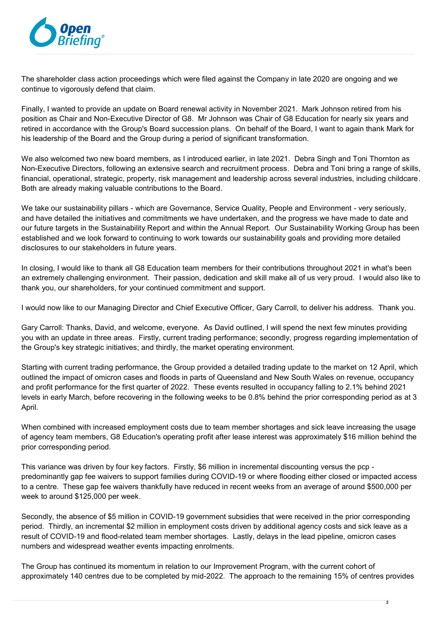

The shareholder class action proceedings which were filed against the Company in late 2020 are ongoing and we continue to vigorously defend that claim.

Finally, I wanted to provide an update on Board renewal activity in November 2021. Mark Johnson retired from his position as Chair and Non-Executive Director of G8. Mr Johnson was Chair of G8 Education for nearly six years and retired in accordance with the Group's Board succession plans. On behalf of the Board, I want to again thank Mark for his leadership of the Board and the Group during a period of significant transformation.

We also welcomed two new board members, as I introduced earlier, in late 2021. Debra Singh and Toni Thornton as Non-Executive Directors, following an extensive search and recruitment process. Debra and Toni bring a range of skills, financial, operational, strategic, property, risk management and leadership across several industries, including childcare. Both are already making valuable contributions to the Board.

We take our sustainability pillars - which are Governance, Service Quality, People and Environment - very seriously, and have detailed the initiatives and commitments we have undertaken, and the progress we have made to date and our future targets in the Sustainability Report and within the Annual Report. Our Sustainability Working Group has been established and we look forward to continuing to work towards our sustainability goals and providing more detailed disclosures to our stakeholders in future years.

In closing, I would like to thank all G8 Education team members for their contributions throughout 2021 in what's been an extremely challenging environment. Their passion, dedication and skill make all of us very proud. I would also like to thank you, our shareholders, for your continued commitment and support.

I would now like to our Managing Director and Chief Executive Officer, Gary Carroll, to deliver his address. Thank you.

Gary Carroll: Thanks, David, and welcome, everyone. As David outlined, I will spend the next few minutes providing you with an update in three areas. Firstly, current trading performance; secondly, progress regarding implementation of the Group's key strategic initiatives; and thirdly, the market operating environment.

Starting with current trading performance, the Group provided a detailed trading update to the market on 12 April, which outlined the impact of omicron cases and floods in parts of Queensland and New South Wales on revenue, occupancy and profit performance for the first quarter of 2022. These events resulted in occupancy falling to 2.1% behind 2021 levels in early March, before recovering in the following weeks to be 0.8% behind the prior corresponding period as at 3 April.

When combined with increased employment costs due to team member shortages and sick leave increasing the usage of agency team members, G8 Education's operating profit after lease interest was approximately \$16 million behind the prior corresponding period.

This variance was driven by four key factors. Firstly, \$6 million in incremental discounting versus the pcp predominantly gap fee waivers to support families during COVID-19 or where flooding either closed or impacted access to a centre. These gap fee waivers thankfully have reduced in recent weeks from an average of around \$500,000 per week to around \$125,000 per week.

Secondly, the absence of \$5 million in COVID-19 government subsidies that were received in the prior corresponding period. Thirdly, an incremental \$2 million in employment costs driven by additional agency costs and sick leave as a result of COVID-19 and flood-related team member shortages. Lastly, delays in the lead pipeline, omicron cases numbers and widespread weather events impacting enrolments.

The Group has continued its momentum in relation to our Improvement Program, with the current cohort of approximately 140 centres due to be completed by mid-2022. The approach to the remaining 15% of centres provides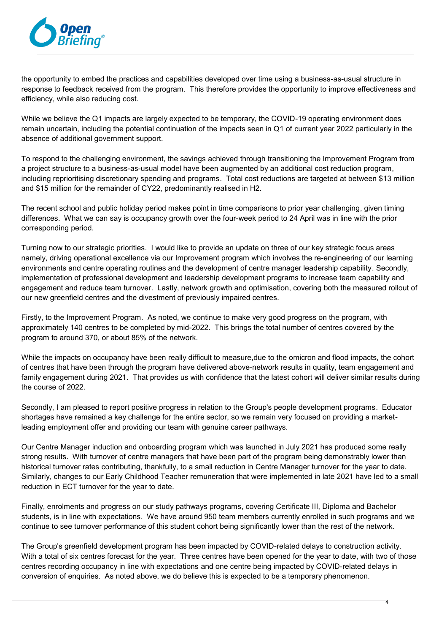

the opportunity to embed the practices and capabilities developed over time using a business-as-usual structure in response to feedback received from the program. This therefore provides the opportunity to improve effectiveness and efficiency, while also reducing cost.

While we believe the Q1 impacts are largely expected to be temporary, the COVID-19 operating environment does remain uncertain, including the potential continuation of the impacts seen in Q1 of current year 2022 particularly in the absence of additional government support.

To respond to the challenging environment, the savings achieved through transitioning the Improvement Program from a project structure to a business-as-usual model have been augmented by an additional cost reduction program, including reprioritising discretionary spending and programs. Total cost reductions are targeted at between \$13 million and \$15 million for the remainder of CY22, predominantly realised in H2.

The recent school and public holiday period makes point in time comparisons to prior year challenging, given timing differences. What we can say is occupancy growth over the four-week period to 24 April was in line with the prior corresponding period.

Turning now to our strategic priorities. I would like to provide an update on three of our key strategic focus areas namely, driving operational excellence via our Improvement program which involves the re-engineering of our learning environments and centre operating routines and the development of centre manager leadership capability. Secondly, implementation of professional development and leadership development programs to increase team capability and engagement and reduce team turnover. Lastly, network growth and optimisation, covering both the measured rollout of our new greenfield centres and the divestment of previously impaired centres.

Firstly, to the Improvement Program. As noted, we continue to make very good progress on the program, with approximately 140 centres to be completed by mid-2022. This brings the total number of centres covered by the program to around 370, or about 85% of the network.

While the impacts on occupancy have been really difficult to measure,due to the omicron and flood impacts, the cohort of centres that have been through the program have delivered above-network results in quality, team engagement and family engagement during 2021. That provides us with confidence that the latest cohort will deliver similar results during the course of 2022.

Secondly, I am pleased to report positive progress in relation to the Group's people development programs. Educator shortages have remained a key challenge for the entire sector, so we remain very focused on providing a marketleading employment offer and providing our team with genuine career pathways.

Our Centre Manager induction and onboarding program which was launched in July 2021 has produced some really strong results. With turnover of centre managers that have been part of the program being demonstrably lower than historical turnover rates contributing, thankfully, to a small reduction in Centre Manager turnover for the year to date. Similarly, changes to our Early Childhood Teacher remuneration that were implemented in late 2021 have led to a small reduction in ECT turnover for the year to date.

Finally, enrolments and progress on our study pathways programs, covering Certificate III, Diploma and Bachelor students, is in line with expectations. We have around 950 team members currently enrolled in such programs and we continue to see turnover performance of this student cohort being significantly lower than the rest of the network.

The Group's greenfield development program has been impacted by COVID-related delays to construction activity. With a total of six centres forecast for the year. Three centres have been opened for the year to date, with two of those centres recording occupancy in line with expectations and one centre being impacted by COVID-related delays in conversion of enquiries. As noted above, we do believe this is expected to be a temporary phenomenon.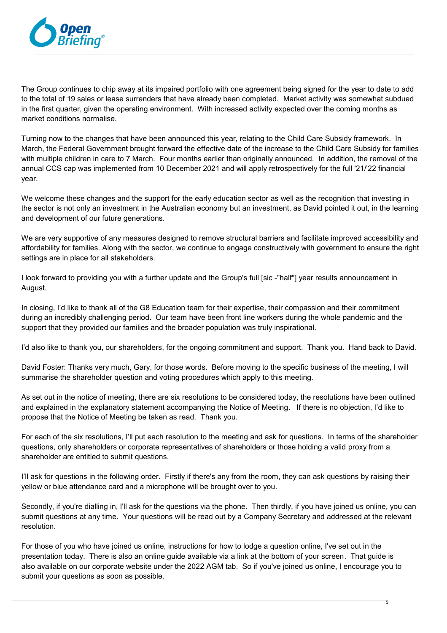

The Group continues to chip away at its impaired portfolio with one agreement being signed for the year to date to add to the total of 19 sales or lease surrenders that have already been completed. Market activity was somewhat subdued in the first quarter, given the operating environment. With increased activity expected over the coming months as market conditions normalise.

Turning now to the changes that have been announced this year, relating to the Child Care Subsidy framework. In March, the Federal Government brought forward the effective date of the increase to the Child Care Subsidy for families with multiple children in care to 7 March. Four months earlier than originally announced. In addition, the removal of the annual CCS cap was implemented from 10 December 2021 and will apply retrospectively for the full '21/'22 financial year.

We welcome these changes and the support for the early education sector as well as the recognition that investing in the sector is not only an investment in the Australian economy but an investment, as David pointed it out, in the learning and development of our future generations.

We are very supportive of any measures designed to remove structural barriers and facilitate improved accessibility and affordability for families. Along with the sector, we continue to engage constructively with government to ensure the right settings are in place for all stakeholders.

I look forward to providing you with a further update and the Group's full [sic -"half"] year results announcement in August.

In closing, I'd like to thank all of the G8 Education team for their expertise, their compassion and their commitment during an incredibly challenging period. Our team have been front line workers during the whole pandemic and the support that they provided our families and the broader population was truly inspirational.

I'd also like to thank you, our shareholders, for the ongoing commitment and support. Thank you. Hand back to David.

David Foster: Thanks very much, Gary, for those words. Before moving to the specific business of the meeting, I will summarise the shareholder question and voting procedures which apply to this meeting.

As set out in the notice of meeting, there are six resolutions to be considered today, the resolutions have been outlined and explained in the explanatory statement accompanying the Notice of Meeting. If there is no objection, I'd like to propose that the Notice of Meeting be taken as read. Thank you.

For each of the six resolutions, I'll put each resolution to the meeting and ask for questions. In terms of the shareholder questions, only shareholders or corporate representatives of shareholders or those holding a valid proxy from a shareholder are entitled to submit questions.

I'll ask for questions in the following order. Firstly if there's any from the room, they can ask questions by raising their yellow or blue attendance card and a microphone will be brought over to you.

Secondly, if you're dialling in, I'll ask for the questions via the phone. Then thirdly, if you have joined us online, you can submit questions at any time. Your questions will be read out by a Company Secretary and addressed at the relevant resolution.

For those of you who have joined us online, instructions for how to lodge a question online, I've set out in the presentation today. There is also an online guide available via a link at the bottom of your screen. That guide is also available on our corporate website under the 2022 AGM tab. So if you've joined us online, I encourage you to submit your questions as soon as possible.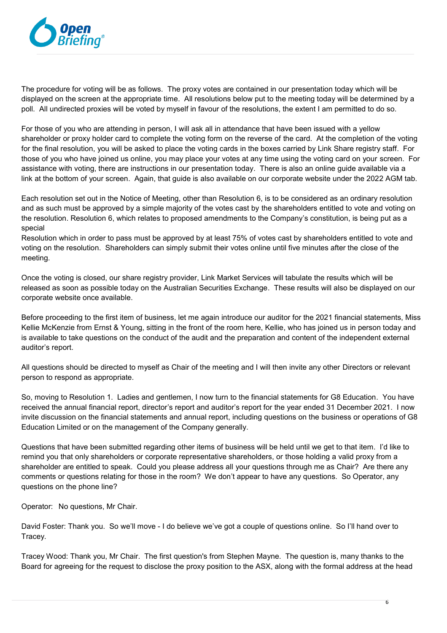

The procedure for voting will be as follows. The proxy votes are contained in our presentation today which will be displayed on the screen at the appropriate time. All resolutions below put to the meeting today will be determined by a poll. All undirected proxies will be voted by myself in favour of the resolutions, the extent I am permitted to do so.

For those of you who are attending in person, I will ask all in attendance that have been issued with a yellow shareholder or proxy holder card to complete the voting form on the reverse of the card. At the completion of the voting for the final resolution, you will be asked to place the voting cards in the boxes carried by Link Share registry staff. For those of you who have joined us online, you may place your votes at any time using the voting card on your screen. For assistance with voting, there are instructions in our presentation today. There is also an online guide available via a link at the bottom of your screen. Again, that guide is also available on our corporate website under the 2022 AGM tab.

Each resolution set out in the Notice of Meeting, other than Resolution 6, is to be considered as an ordinary resolution and as such must be approved by a simple majority of the votes cast by the shareholders entitled to vote and voting on the resolution. Resolution 6, which relates to proposed amendments to the Company's constitution, is being put as a special

Resolution which in order to pass must be approved by at least 75% of votes cast by shareholders entitled to vote and voting on the resolution. Shareholders can simply submit their votes online until five minutes after the close of the meeting.

Once the voting is closed, our share registry provider, Link Market Services will tabulate the results which will be released as soon as possible today on the Australian Securities Exchange. These results will also be displayed on our corporate website once available.

Before proceeding to the first item of business, let me again introduce our auditor for the 2021 financial statements, Miss Kellie McKenzie from Ernst & Young, sitting in the front of the room here, Kellie, who has joined us in person today and is available to take questions on the conduct of the audit and the preparation and content of the independent external auditor's report.

All questions should be directed to myself as Chair of the meeting and I will then invite any other Directors or relevant person to respond as appropriate.

So, moving to Resolution 1. Ladies and gentlemen, I now turn to the financial statements for G8 Education. You have received the annual financial report, director's report and auditor's report for the year ended 31 December 2021. I now invite discussion on the financial statements and annual report, including questions on the business or operations of G8 Education Limited or on the management of the Company generally.

Questions that have been submitted regarding other items of business will be held until we get to that item. I'd like to remind you that only shareholders or corporate representative shareholders, or those holding a valid proxy from a shareholder are entitled to speak. Could you please address all your questions through me as Chair? Are there any comments or questions relating for those in the room? We don't appear to have any questions. So Operator, any questions on the phone line?

Operator: No questions, Mr Chair.

David Foster: Thank you. So we'll move - I do believe we've got a couple of questions online. So I'll hand over to Tracey.

Tracey Wood: Thank you, Mr Chair. The first question's from Stephen Mayne. The question is, many thanks to the Board for agreeing for the request to disclose the proxy position to the ASX, along with the formal address at the head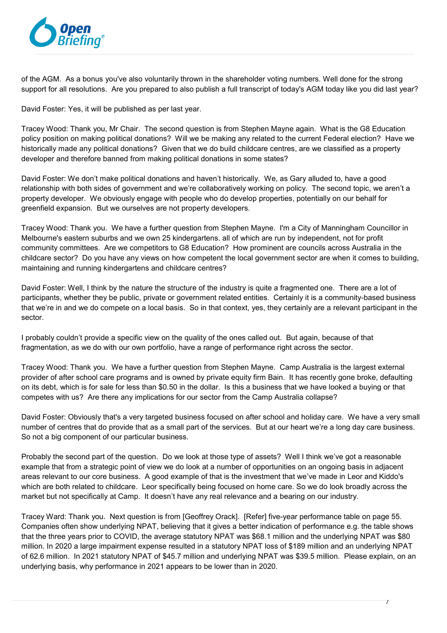

of the AGM. As a bonus you've also voluntarily thrown in the shareholder voting numbers. Well done for the strong support for all resolutions. Are you prepared to also publish a full transcript of today's AGM today like you did last year?

David Foster: Yes, it will be published as per last year.

Tracey Wood: Thank you, Mr Chair. The second question is from Stephen Mayne again. What is the G8 Education policy position on making political donations? Will we be making any related to the current Federal election? Have we historically made any political donations? Given that we do build childcare centres, are we classified as a property developer and therefore banned from making political donations in some states?

David Foster: We don't make political donations and haven't historically. We, as Gary alluded to, have a good relationship with both sides of government and we're collaboratively working on policy. The second topic, we aren't a property developer. We obviously engage with people who do develop properties, potentially on our behalf for greenfield expansion. But we ourselves are not property developers.

Tracey Wood: Thank you. We have a further question from Stephen Mayne. I'm a City of Manningham Councillor in Melbourne's eastern suburbs and we own 25 kindergartens. all of which are run by independent, not for profit community committees. Are we competitors to G8 Education? How prominent are councils across Australia in the childcare sector? Do you have any views on how competent the local government sector are when it comes to building, maintaining and running kindergartens and childcare centres?

David Foster: Well, I think by the nature the structure of the industry is quite a fragmented one. There are a lot of participants, whether they be public, private or government related entities. Certainly it is a community-based business that we're in and we do compete on a local basis. So in that context, yes, they certainly are a relevant participant in the sector.

I probably couldn't provide a specific view on the quality of the ones called out. But again, because of that fragmentation, as we do with our own portfolio, have a range of performance right across the sector.

Tracey Wood: Thank you. We have a further question from Stephen Mayne. Camp Australia is the largest external provider of after school care programs and is owned by private equity firm Bain. It has recently gone broke, defaulting on its debt, which is for sale for less than \$0.50 in the dollar. Is this a business that we have looked a buying or that competes with us? Are there any implications for our sector from the Camp Australia collapse?

David Foster: Obviously that's a very targeted business focused on after school and holiday care. We have a very small number of centres that do provide that as a small part of the services. But at our heart we're a long day care business. So not a big component of our particular business.

Probably the second part of the question. Do we look at those type of assets? Well I think we've got a reasonable example that from a strategic point of view we do look at a number of opportunities on an ongoing basis in adjacent areas relevant to our core business. A good example of that is the investment that we've made in Leor and Kiddo's which are both related to childcare. Leor specifically being focused on home care. So we do look broadly across the market but not specifically at Camp. It doesn't have any real relevance and a bearing on our industry.

Tracey Ward: Thank you. Next question is from [Geoffrey Orack]. [Refer] five-year performance table on page 55. Companies often show underlying NPAT, believing that it gives a better indication of performance e.g. the table shows that the three years prior to COVID, the average statutory NPAT was \$68.1 million and the underlying NPAT was \$80 million. In 2020 a large impairment expense resulted in a statutory NPAT loss of \$189 million and an underlying NPAT of 62.6 million. In 2021 statutory NPAT of \$45.7 million and underlying NPAT was \$39.5 million. Please explain, on an underlying basis, why performance in 2021 appears to be lower than in 2020.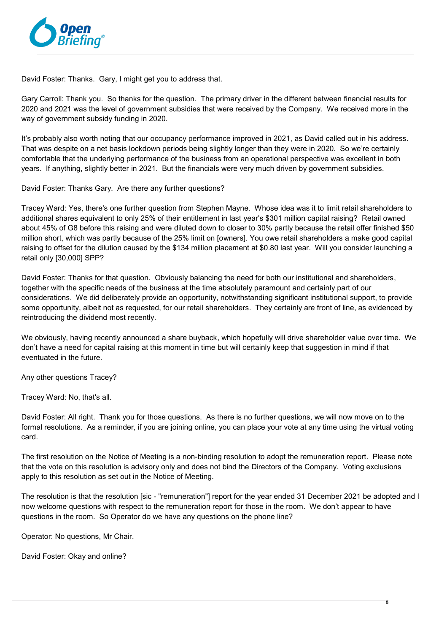

David Foster: Thanks. Gary, I might get you to address that.

Gary Carroll: Thank you. So thanks for the question. The primary driver in the different between financial results for 2020 and 2021 was the level of government subsidies that were received by the Company. We received more in the way of government subsidy funding in 2020.

It's probably also worth noting that our occupancy performance improved in 2021, as David called out in his address. That was despite on a net basis lockdown periods being slightly longer than they were in 2020. So we're certainly comfortable that the underlying performance of the business from an operational perspective was excellent in both years. If anything, slightly better in 2021. But the financials were very much driven by government subsidies.

David Foster: Thanks Gary. Are there any further questions?

Tracey Ward: Yes, there's one further question from Stephen Mayne. Whose idea was it to limit retail shareholders to additional shares equivalent to only 25% of their entitlement in last year's \$301 million capital raising? Retail owned about 45% of G8 before this raising and were diluted down to closer to 30% partly because the retail offer finished \$50 million short, which was partly because of the 25% limit on [owners]. You owe retail shareholders a make good capital raising to offset for the dilution caused by the \$134 million placement at \$0.80 last year. Will you consider launching a retail only [30,000] SPP?

David Foster: Thanks for that question. Obviously balancing the need for both our institutional and shareholders, together with the specific needs of the business at the time absolutely paramount and certainly part of our considerations. We did deliberately provide an opportunity, notwithstanding significant institutional support, to provide some opportunity, albeit not as requested, for our retail shareholders. They certainly are front of line, as evidenced by reintroducing the dividend most recently.

We obviously, having recently announced a share buyback, which hopefully will drive shareholder value over time. We don't have a need for capital raising at this moment in time but will certainly keep that suggestion in mind if that eventuated in the future.

Any other questions Tracey?

Tracey Ward: No, that's all.

David Foster: All right. Thank you for those questions. As there is no further questions, we will now move on to the formal resolutions. As a reminder, if you are joining online, you can place your vote at any time using the virtual voting card.

The first resolution on the Notice of Meeting is a non-binding resolution to adopt the remuneration report. Please note that the vote on this resolution is advisory only and does not bind the Directors of the Company. Voting exclusions apply to this resolution as set out in the Notice of Meeting.

The resolution is that the resolution [sic - "remuneration"] report for the year ended 31 December 2021 be adopted and I now welcome questions with respect to the remuneration report for those in the room. We don't appear to have questions in the room. So Operator do we have any questions on the phone line?

Operator: No questions, Mr Chair.

David Foster: Okay and online?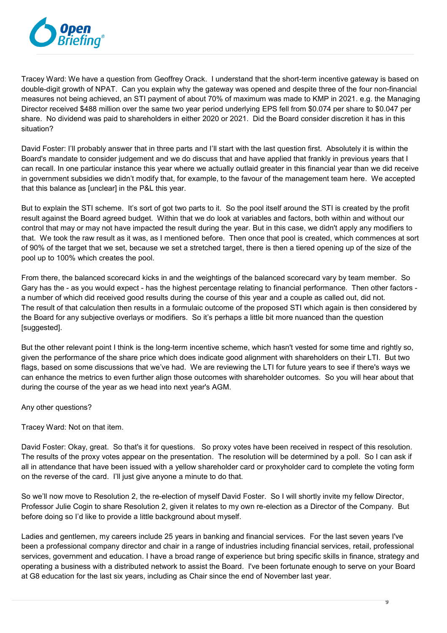

Tracey Ward: We have a question from Geoffrey Orack. I understand that the short-term incentive gateway is based on double-digit growth of NPAT. Can you explain why the gateway was opened and despite three of the four non-financial measures not being achieved, an STI payment of about 70% of maximum was made to KMP in 2021. e.g. the Managing Director received \$488 million over the same two year period underlying EPS fell from \$0.074 per share to \$0.047 per share. No dividend was paid to shareholders in either 2020 or 2021. Did the Board consider discretion it has in this situation?

David Foster: I'll probably answer that in three parts and I'll start with the last question first. Absolutely it is within the Board's mandate to consider judgement and we do discuss that and have applied that frankly in previous years that I can recall. In one particular instance this year where we actually outlaid greater in this financial year than we did receive in government subsidies we didn't modify that, for example, to the favour of the management team here. We accepted that this balance as [unclear] in the P&L this year.

But to explain the STI scheme. It's sort of got two parts to it. So the pool itself around the STI is created by the profit result against the Board agreed budget. Within that we do look at variables and factors, both within and without our control that may or may not have impacted the result during the year. But in this case, we didn't apply any modifiers to that. We took the raw result as it was, as I mentioned before. Then once that pool is created, which commences at sort of 90% of the target that we set, because we set a stretched target, there is then a tiered opening up of the size of the pool up to 100% which creates the pool.

From there, the balanced scorecard kicks in and the weightings of the balanced scorecard vary by team member. So Gary has the - as you would expect - has the highest percentage relating to financial performance. Then other factors a number of which did received good results during the course of this year and a couple as called out, did not. The result of that calculation then results in a formulaic outcome of the proposed STI which again is then considered by the Board for any subjective overlays or modifiers. So it's perhaps a little bit more nuanced than the question [suggested].

But the other relevant point I think is the long-term incentive scheme, which hasn't vested for some time and rightly so, given the performance of the share price which does indicate good alignment with shareholders on their LTI. But two flags, based on some discussions that we've had. We are reviewing the LTI for future years to see if there's ways we can enhance the metrics to even further align those outcomes with shareholder outcomes. So you will hear about that during the course of the year as we head into next year's AGM.

Any other questions?

Tracey Ward: Not on that item.

David Foster: Okay, great. So that's it for questions. So proxy votes have been received in respect of this resolution. The results of the proxy votes appear on the presentation. The resolution will be determined by a poll. So I can ask if all in attendance that have been issued with a yellow shareholder card or proxyholder card to complete the voting form on the reverse of the card. I'll just give anyone a minute to do that.

So we'll now move to Resolution 2, the re-election of myself David Foster. So I will shortly invite my fellow Director, Professor Julie Cogin to share Resolution 2, given it relates to my own re-election as a Director of the Company. But before doing so I'd like to provide a little background about myself.

Ladies and gentlemen, my careers include 25 years in banking and financial services. For the last seven years I've been a professional company director and chair in a range of industries including financial services, retail, professional services, government and education. I have a broad range of experience but bring specific skills in finance, strategy and operating a business with a distributed network to assist the Board. I've been fortunate enough to serve on your Board at G8 education for the last six years, including as Chair since the end of November last year.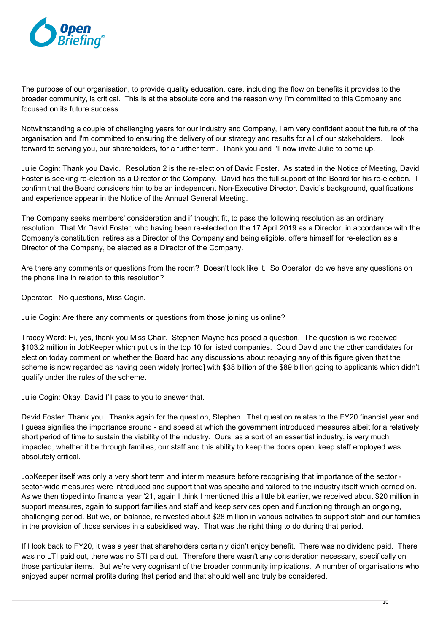

The purpose of our organisation, to provide quality education, care, including the flow on benefits it provides to the broader community, is critical. This is at the absolute core and the reason why I'm committed to this Company and focused on its future success.

Notwithstanding a couple of challenging years for our industry and Company, I am very confident about the future of the organisation and I'm committed to ensuring the delivery of our strategy and results for all of our stakeholders. I look forward to serving you, our shareholders, for a further term. Thank you and I'll now invite Julie to come up.

Julie Cogin: Thank you David. Resolution 2 is the re-election of David Foster. As stated in the Notice of Meeting, David Foster is seeking re-election as a Director of the Company. David has the full support of the Board for his re-election. I confirm that the Board considers him to be an independent Non-Executive Director. David's background, qualifications and experience appear in the Notice of the Annual General Meeting.

The Company seeks members' consideration and if thought fit, to pass the following resolution as an ordinary resolution. That Mr David Foster, who having been re-elected on the 17 April 2019 as a Director, in accordance with the Company's constitution, retires as a Director of the Company and being eligible, offers himself for re-election as a Director of the Company, be elected as a Director of the Company.

Are there any comments or questions from the room? Doesn't look like it. So Operator, do we have any questions on the phone line in relation to this resolution?

Operator: No questions, Miss Cogin.

Julie Cogin: Are there any comments or questions from those joining us online?

Tracey Ward: Hi, yes, thank you Miss Chair. Stephen Mayne has posed a question. The question is we received \$103.2 million in JobKeeper which put us in the top 10 for listed companies. Could David and the other candidates for election today comment on whether the Board had any discussions about repaying any of this figure given that the scheme is now regarded as having been widely [rorted] with \$38 billion of the \$89 billion going to applicants which didn't qualify under the rules of the scheme.

Julie Cogin: Okay, David I'll pass to you to answer that.

David Foster: Thank you. Thanks again for the question, Stephen. That question relates to the FY20 financial year and I guess signifies the importance around - and speed at which the government introduced measures albeit for a relatively short period of time to sustain the viability of the industry. Ours, as a sort of an essential industry, is very much impacted, whether it be through families, our staff and this ability to keep the doors open, keep staff employed was absolutely critical.

JobKeeper itself was only a very short term and interim measure before recognising that importance of the sector sector-wide measures were introduced and support that was specific and tailored to the industry itself which carried on. As we then tipped into financial year '21, again I think I mentioned this a little bit earlier, we received about \$20 million in support measures, again to support families and staff and keep services open and functioning through an ongoing, challenging period. But we, on balance, reinvested about \$28 million in various activities to support staff and our families in the provision of those services in a subsidised way. That was the right thing to do during that period.

If I look back to FY20, it was a year that shareholders certainly didn't enjoy benefit. There was no dividend paid. There was no LTI paid out, there was no STI paid out. Therefore there wasn't any consideration necessary, specifically on those particular items. But we're very cognisant of the broader community implications. A number of organisations who enjoyed super normal profits during that period and that should well and truly be considered.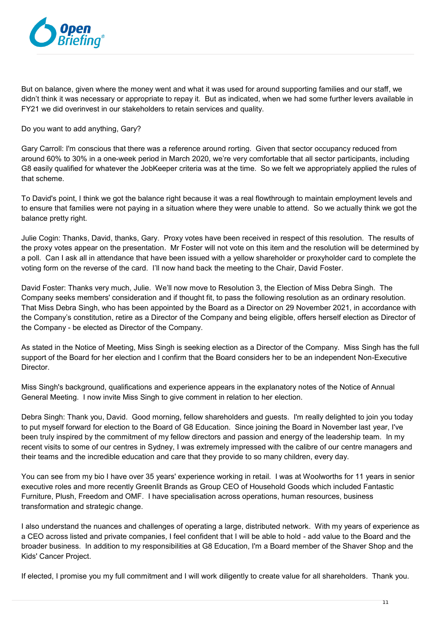

But on balance, given where the money went and what it was used for around supporting families and our staff, we didn't think it was necessary or appropriate to repay it. But as indicated, when we had some further levers available in FY21 we did overinvest in our stakeholders to retain services and quality.

Do you want to add anything, Gary?

Gary Carroll: I'm conscious that there was a reference around rorting. Given that sector occupancy reduced from around 60% to 30% in a one-week period in March 2020, we're very comfortable that all sector participants, including G8 easily qualified for whatever the JobKeeper criteria was at the time. So we felt we appropriately applied the rules of that scheme.

To David's point, I think we got the balance right because it was a real flowthrough to maintain employment levels and to ensure that families were not paying in a situation where they were unable to attend. So we actually think we got the balance pretty right.

Julie Cogin: Thanks, David, thanks, Gary. Proxy votes have been received in respect of this resolution. The results of the proxy votes appear on the presentation. Mr Foster will not vote on this item and the resolution will be determined by a poll. Can I ask all in attendance that have been issued with a yellow shareholder or proxyholder card to complete the voting form on the reverse of the card. I'll now hand back the meeting to the Chair, David Foster.

David Foster: Thanks very much, Julie. We'll now move to Resolution 3, the Election of Miss Debra Singh. The Company seeks members' consideration and if thought fit, to pass the following resolution as an ordinary resolution. That Miss Debra Singh, who has been appointed by the Board as a Director on 29 November 2021, in accordance with the Company's constitution, retire as a Director of the Company and being eligible, offers herself election as Director of the Company - be elected as Director of the Company.

As stated in the Notice of Meeting, Miss Singh is seeking election as a Director of the Company. Miss Singh has the full support of the Board for her election and I confirm that the Board considers her to be an independent Non-Executive Director.

Miss Singh's background, qualifications and experience appears in the explanatory notes of the Notice of Annual General Meeting. I now invite Miss Singh to give comment in relation to her election.

Debra Singh: Thank you, David. Good morning, fellow shareholders and guests. I'm really delighted to join you today to put myself forward for election to the Board of G8 Education. Since joining the Board in November last year, I've been truly inspired by the commitment of my fellow directors and passion and energy of the leadership team. In my recent visits to some of our centres in Sydney, I was extremely impressed with the calibre of our centre managers and their teams and the incredible education and care that they provide to so many children, every day.

You can see from my bio I have over 35 years' experience working in retail. I was at Woolworths for 11 years in senior executive roles and more recently Greenlit Brands as Group CEO of Household Goods which included Fantastic Furniture, Plush, Freedom and OMF. I have specialisation across operations, human resources, business transformation and strategic change.

I also understand the nuances and challenges of operating a large, distributed network. With my years of experience as a CEO across listed and private companies, I feel confident that I will be able to hold - add value to the Board and the broader business. In addition to my responsibilities at G8 Education, I'm a Board member of the Shaver Shop and the Kids' Cancer Project.

If elected, I promise you my full commitment and I will work diligently to create value for all shareholders. Thank you.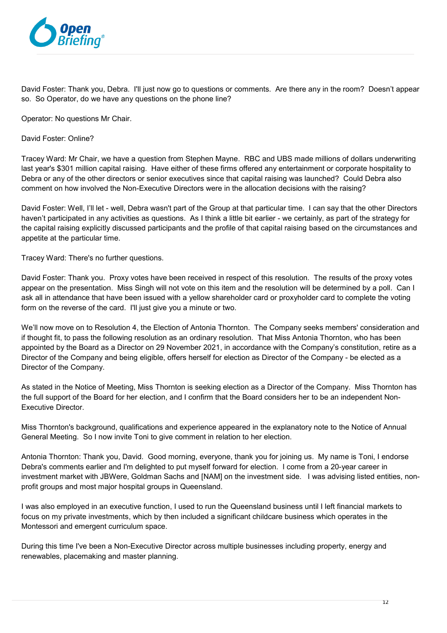

David Foster: Thank you, Debra. I'll just now go to questions or comments. Are there any in the room? Doesn't appear so. So Operator, do we have any questions on the phone line?

Operator: No questions Mr Chair.

David Foster: Online?

Tracey Ward: Mr Chair, we have a question from Stephen Mayne. RBC and UBS made millions of dollars underwriting last year's \$301 million capital raising. Have either of these firms offered any entertainment or corporate hospitality to Debra or any of the other directors or senior executives since that capital raising was launched? Could Debra also comment on how involved the Non-Executive Directors were in the allocation decisions with the raising?

David Foster: Well, I'll let - well, Debra wasn't part of the Group at that particular time. I can say that the other Directors haven't participated in any activities as questions. As I think a little bit earlier - we certainly, as part of the strategy for the capital raising explicitly discussed participants and the profile of that capital raising based on the circumstances and appetite at the particular time.

Tracey Ward: There's no further questions.

David Foster: Thank you. Proxy votes have been received in respect of this resolution. The results of the proxy votes appear on the presentation. Miss Singh will not vote on this item and the resolution will be determined by a poll. Can I ask all in attendance that have been issued with a yellow shareholder card or proxyholder card to complete the voting form on the reverse of the card. I'll just give you a minute or two.

We'll now move on to Resolution 4, the Election of Antonia Thornton. The Company seeks members' consideration and if thought fit, to pass the following resolution as an ordinary resolution. That Miss Antonia Thornton, who has been appointed by the Board as a Director on 29 November 2021, in accordance with the Company's constitution, retire as a Director of the Company and being eligible, offers herself for election as Director of the Company - be elected as a Director of the Company.

As stated in the Notice of Meeting, Miss Thornton is seeking election as a Director of the Company. Miss Thornton has the full support of the Board for her election, and I confirm that the Board considers her to be an independent Non-Executive Director.

Miss Thornton's background, qualifications and experience appeared in the explanatory note to the Notice of Annual General Meeting. So I now invite Toni to give comment in relation to her election.

Antonia Thornton: Thank you, David. Good morning, everyone, thank you for joining us. My name is Toni, I endorse Debra's comments earlier and I'm delighted to put myself forward for election. I come from a 20-year career in investment market with JBWere, Goldman Sachs and [NAM] on the investment side. I was advising listed entities, nonprofit groups and most major hospital groups in Queensland.

I was also employed in an executive function, I used to run the Queensland business until I left financial markets to focus on my private investments, which by then included a significant childcare business which operates in the Montessori and emergent curriculum space.

During this time I've been a Non-Executive Director across multiple businesses including property, energy and renewables, placemaking and master planning.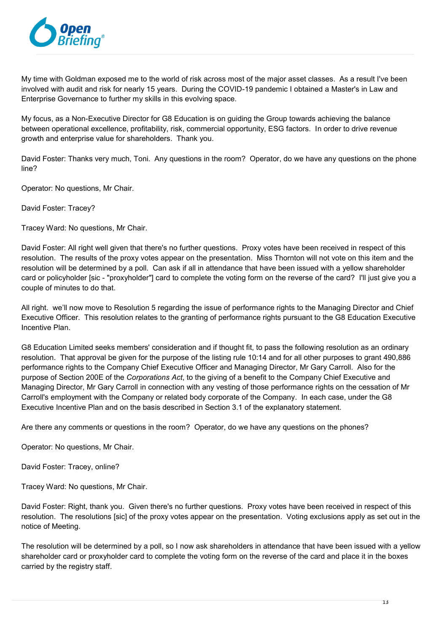

My time with Goldman exposed me to the world of risk across most of the major asset classes. As a result I've been involved with audit and risk for nearly 15 years. During the COVID-19 pandemic I obtained a Master's in Law and Enterprise Governance to further my skills in this evolving space.

My focus, as a Non-Executive Director for G8 Education is on guiding the Group towards achieving the balance between operational excellence, profitability, risk, commercial opportunity, ESG factors. In order to drive revenue growth and enterprise value for shareholders. Thank you.

David Foster: Thanks very much, Toni. Any questions in the room? Operator, do we have any questions on the phone line?

Operator: No questions, Mr Chair.

David Foster: Tracey?

Tracey Ward: No questions, Mr Chair.

David Foster: All right well given that there's no further questions. Proxy votes have been received in respect of this resolution. The results of the proxy votes appear on the presentation. Miss Thornton will not vote on this item and the resolution will be determined by a poll. Can ask if all in attendance that have been issued with a yellow shareholder card or policyholder [sic - "proxyholder"] card to complete the voting form on the reverse of the card? I'll just give you a couple of minutes to do that.

All right. we'll now move to Resolution 5 regarding the issue of performance rights to the Managing Director and Chief Executive Officer. This resolution relates to the granting of performance rights pursuant to the G8 Education Executive Incentive Plan.

G8 Education Limited seeks members' consideration and if thought fit, to pass the following resolution as an ordinary resolution. That approval be given for the purpose of the listing rule 10:14 and for all other purposes to grant 490,886 performance rights to the Company Chief Executive Officer and Managing Director, Mr Gary Carroll. Also for the purpose of Section 200E of the *Corporations Act*, to the giving of a benefit to the Company Chief Executive and Managing Director, Mr Gary Carroll in connection with any vesting of those performance rights on the cessation of Mr Carroll's employment with the Company or related body corporate of the Company. In each case, under the G8 Executive Incentive Plan and on the basis described in Section 3.1 of the explanatory statement.

Are there any comments or questions in the room? Operator, do we have any questions on the phones?

Operator: No questions, Mr Chair.

David Foster: Tracey, online?

Tracey Ward: No questions, Mr Chair.

David Foster: Right, thank you. Given there's no further questions. Proxy votes have been received in respect of this resolution. The resolutions [sic] of the proxy votes appear on the presentation. Voting exclusions apply as set out in the notice of Meeting.

The resolution will be determined by a poll, so I now ask shareholders in attendance that have been issued with a yellow shareholder card or proxyholder card to complete the voting form on the reverse of the card and place it in the boxes carried by the registry staff.